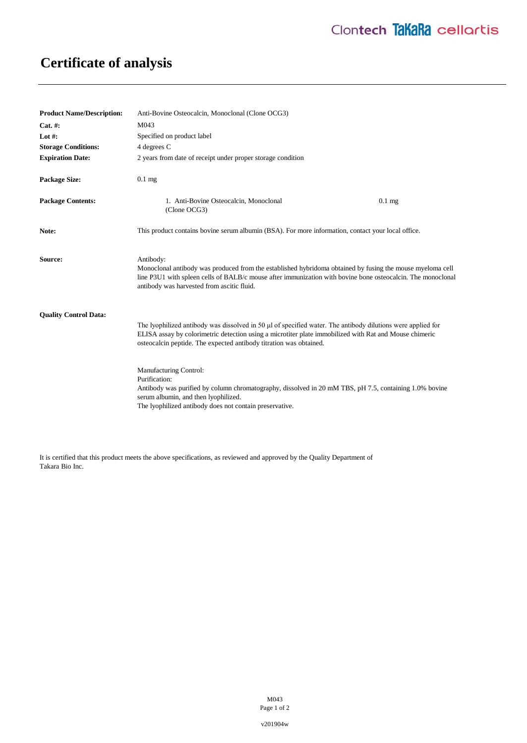## **Certificate of analysis**

| <b>Product Name/Description:</b> | Anti-Bovine Osteocalcin, Monoclonal (Clone OCG3)                                                                                                                                                                                                                                                                                                                                                                                                                                                                                                    |
|----------------------------------|-----------------------------------------------------------------------------------------------------------------------------------------------------------------------------------------------------------------------------------------------------------------------------------------------------------------------------------------------------------------------------------------------------------------------------------------------------------------------------------------------------------------------------------------------------|
| $Cat. \#:$                       | M043                                                                                                                                                                                                                                                                                                                                                                                                                                                                                                                                                |
| Lot $#$ :                        | Specified on product label                                                                                                                                                                                                                                                                                                                                                                                                                                                                                                                          |
| <b>Storage Conditions:</b>       | 4 degrees C                                                                                                                                                                                                                                                                                                                                                                                                                                                                                                                                         |
| <b>Expiration Date:</b>          | 2 years from date of receipt under proper storage condition                                                                                                                                                                                                                                                                                                                                                                                                                                                                                         |
| <b>Package Size:</b>             | $0.1$ mg                                                                                                                                                                                                                                                                                                                                                                                                                                                                                                                                            |
| <b>Package Contents:</b>         | 1. Anti-Bovine Osteocalcin, Monoclonal<br>$0.1$ mg<br>(Clone OCG3)                                                                                                                                                                                                                                                                                                                                                                                                                                                                                  |
| Note:                            | This product contains bovine serum albumin (BSA). For more information, contact your local office.                                                                                                                                                                                                                                                                                                                                                                                                                                                  |
| Source:                          | Antibody:<br>Monoclonal antibody was produced from the established hybridoma obtained by fusing the mouse myeloma cell<br>line P3U1 with spleen cells of BALB/c mouse after immunization with bovine bone osteocalcin. The monoclonal<br>antibody was harvested from ascitic fluid.                                                                                                                                                                                                                                                                 |
| <b>Ouality Control Data:</b>     | The lyophilized antibody was dissolved in 50 µl of specified water. The antibody dilutions were applied for<br>ELISA assay by colorimetric detection using a microtiter plate immobilized with Rat and Mouse chimeric<br>osteocalcin peptide. The expected antibody titration was obtained.<br>Manufacturing Control:<br>Purification:<br>Antibody was purified by column chromatography, dissolved in 20 mM TBS, pH 7.5, containing 1.0% bovine<br>serum albumin, and then lyophilized.<br>The lyophilized antibody does not contain preservative. |

It is certified that this product meets the above specifications, as reviewed and approved by the Quality Department of Takara Bio Inc.

> M043 Page 1 of 2

v201904w